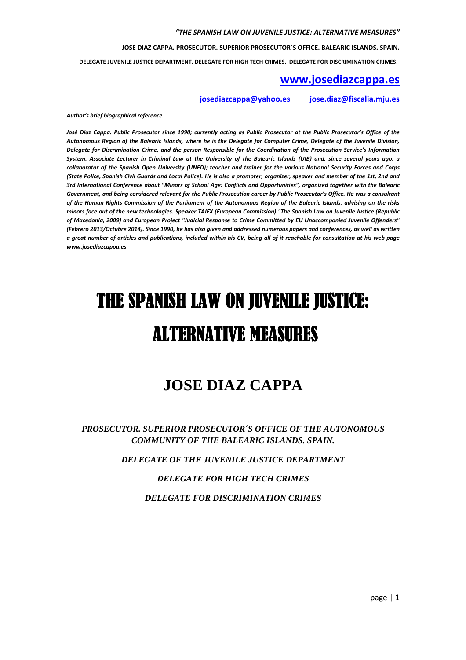**JOSE DIAZ CAPPA. PROSECUTOR. SUPERIOR PROSECUTOR´S OFFICE. BALEARIC ISLANDS. SPAIN.**

 **DELEGATE JUVENILE JUSTICE DEPARTMENT. DELEGATE FOR HIGH TECH CRIMES. DELEGATE FOR DISCRIMINATION CRIMES.** 

#### **www.josediazcappa.es**

**josediazcappa@yahoo.es jose.diaz@fiscalia.mju.es** 

*Author's brief biographical reference.* 

*José Díaz Cappa. Public Prosecutor since 1990; currently acting as Public Prosecutor at the Public Prosecutor's Office of the Autonomous Region of the Balearic Islands, where he is the Delegate for Computer Crime, Delegate of the Juvenile Division, Delegate for Discrimination Crime, and the person Responsible for the Coordination of the Prosecution Service's Information System. Associate Lecturer in Criminal Law at the University of the Balearic Islands (UIB) and, since several years ago, a collaborator of the Spanish Open University (UNED); teacher and trainer for the various National Security Forces and Corps (State Police, Spanish Civil Guards and Local Police). He is also a promoter, organizer, speaker and member of the 1st, 2nd and 3rd International Conference about "Minors of School Age: Conflicts and Opportunities", organized together with the Balearic Government, and being considered relevant for the Public Prosecution career by Public Prosecutor's Office. He was a consultant of the Human Rights Commission of the Parliament of the Autonomous Region of the Balearic Islands, advising on the risks minors face out of the new technologies. Speaker TAIEX (European Commission) "The Spanish Law on Juvenile Justice (Republic of Macedonia, 2009) and European Project "Judicial Response to Crime Committed by EU Unaccompanied Juvenile Offenders" (Febrero 2013/Octubre 2014). Since 1990, he has also given and addressed numerous papers and conferences, as well as written a great number of articles and publications, included within his CV, being all of it reachable for consultation at his web page www.josediazcappa.es* 

# THE SPANISH LAW ON JUVENILE JUSTICE: **ALTERNATIVE MEASURES**

# **JOSE DIAZ CAPPA**

*PROSECUTOR. SUPERIOR PROSECUTOR´S OFFICE OF THE AUTONOMOUS COMMUNITY OF THE BALEARIC ISLANDS. SPAIN.* 

*DELEGATE OF THE JUVENILE JUSTICE DEPARTMENT* 

#### *DELEGATE FOR HIGH TECH CRIMES*

*DELEGATE FOR DISCRIMINATION CRIMES*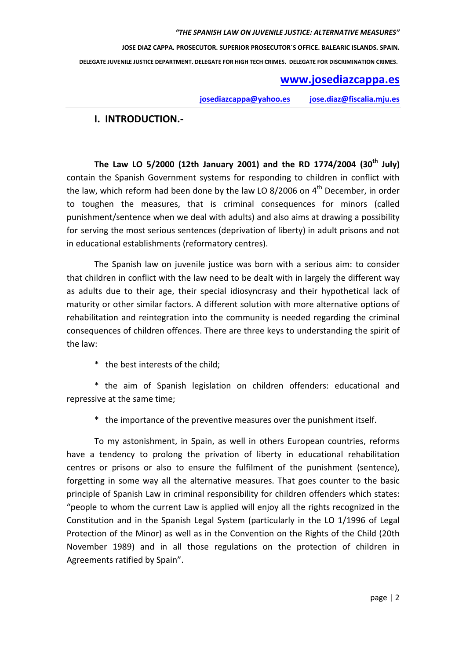# **www.josediazcappa.es**

**josediazcappa@yahoo.es jose.diaz@fiscalia.mju.es** 

## **I. INTRODUCTION.-**

**The Law LO 5/2000 (12th January 2001) and the RD 1774/2004 (30th July)**  contain the Spanish Government systems for responding to children in conflict with the law, which reform had been done by the law LO 8/2006 on  $4<sup>th</sup>$  December, in order to toughen the measures, that is criminal consequences for minors (called punishment/sentence when we deal with adults) and also aims at drawing a possibility for serving the most serious sentences (deprivation of liberty) in adult prisons and not in educational establishments (reformatory centres).

The Spanish law on juvenile justice was born with a serious aim: to consider that children in conflict with the law need to be dealt with in largely the different way as adults due to their age, their special idiosyncrasy and their hypothetical lack of maturity or other similar factors. A different solution with more alternative options of rehabilitation and reintegration into the community is needed regarding the criminal consequences of children offences. There are three keys to understanding the spirit of the law:

\* the best interests of the child;

\* the aim of Spanish legislation on children offenders: educational and repressive at the same time;

\* the importance of the preventive measures over the punishment itself.

To my astonishment, in Spain, as well in others European countries, reforms have a tendency to prolong the privation of liberty in educational rehabilitation centres or prisons or also to ensure the fulfilment of the punishment (sentence), forgetting in some way all the alternative measures. That goes counter to the basic principle of Spanish Law in criminal responsibility for children offenders which states: "people to whom the current Law is applied will enjoy all the rights recognized in the Constitution and in the Spanish Legal System (particularly in the LO 1/1996 of Legal Protection of the Minor) as well as in the Convention on the Rights of the Child (20th November 1989) and in all those regulations on the protection of children in Agreements ratified by Spain".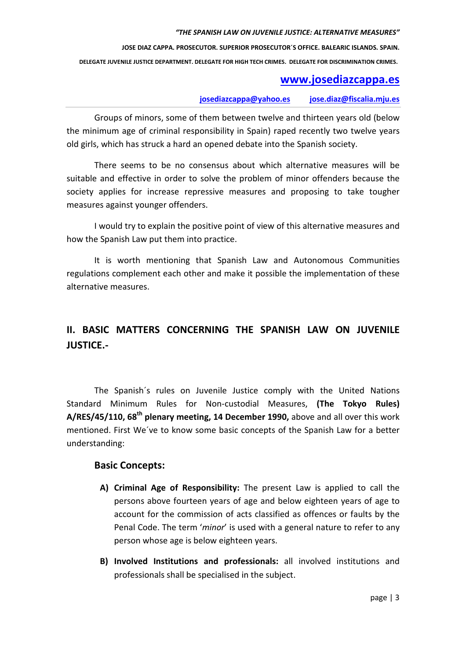**JOSE DIAZ CAPPA. PROSECUTOR. SUPERIOR PROSECUTOR´S OFFICE. BALEARIC ISLANDS. SPAIN.**

 **DELEGATE JUVENILE JUSTICE DEPARTMENT. DELEGATE FOR HIGH TECH CRIMES. DELEGATE FOR DISCRIMINATION CRIMES.** 

## **www.josediazcappa.es**

**josediazcappa@yahoo.es jose.diaz@fiscalia.mju.es** 

Groups of minors, some of them between twelve and thirteen years old (below the minimum age of criminal responsibility in Spain) raped recently two twelve years old girls, which has struck a hard an opened debate into the Spanish society.

There seems to be no consensus about which alternative measures will be suitable and effective in order to solve the problem of minor offenders because the society applies for increase repressive measures and proposing to take tougher measures against younger offenders.

I would try to explain the positive point of view of this alternative measures and how the Spanish Law put them into practice.

It is worth mentioning that Spanish Law and Autonomous Communities regulations complement each other and make it possible the implementation of these alternative measures.

## **II. BASIC MATTERS CONCERNING THE SPANISH LAW ON JUVENILE JUSTICE.-**

The Spanish´s rules on Juvenile Justice comply with the United Nations Standard Minimum Rules for Non-custodial Measures, **(The Tokyo Rules) A/RES/45/110, 68th plenary meeting, 14 December 1990,** above and all over this work mentioned. First We´ve to know some basic concepts of the Spanish Law for a better understanding:

#### **Basic Concepts:**

- **A) Criminal Age of Responsibility:** The present Law is applied to call the persons above fourteen years of age and below eighteen years of age to account for the commission of acts classified as offences or faults by the Penal Code. The term '*minor*' is used with a general nature to refer to any person whose age is below eighteen years.
- **B) Involved Institutions and professionals:** all involved institutions and professionals shall be specialised in the subject.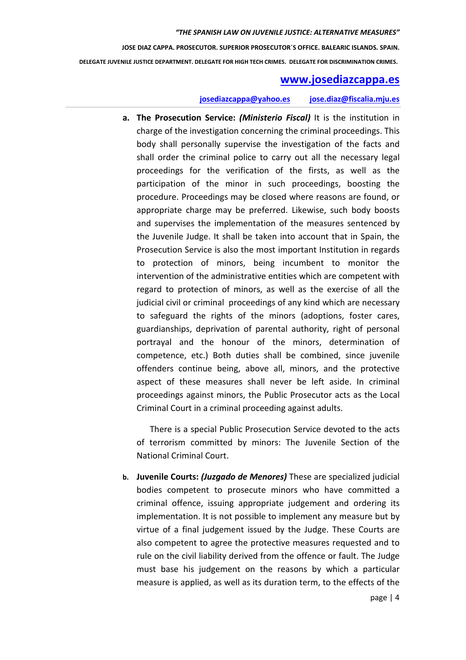## **www.josediazcappa.es**

#### **josediazcappa@yahoo.es jose.diaz@fiscalia.mju.es**

**a. The Prosecution Service:** *(Ministerio Fiscal)* It is the institution in charge of the investigation concerning the criminal proceedings. This body shall personally supervise the investigation of the facts and shall order the criminal police to carry out all the necessary legal proceedings for the verification of the firsts, as well as the participation of the minor in such proceedings, boosting the procedure. Proceedings may be closed where reasons are found, or appropriate charge may be preferred. Likewise, such body boosts and supervises the implementation of the measures sentenced by the Juvenile Judge. It shall be taken into account that in Spain, the Prosecution Service is also the most important Institution in regards to protection of minors, being incumbent to monitor the intervention of the administrative entities which are competent with regard to protection of minors, as well as the exercise of all the judicial civil or criminal proceedings of any kind which are necessary to safeguard the rights of the minors (adoptions, foster cares, guardianships, deprivation of parental authority, right of personal portrayal and the honour of the minors, determination of competence, etc.) Both duties shall be combined, since juvenile offenders continue being, above all, minors, and the protective aspect of these measures shall never be left aside. In criminal proceedings against minors, the Public Prosecutor acts as the Local Criminal Court in a criminal proceeding against adults.

There is a special Public Prosecution Service devoted to the acts of terrorism committed by minors: The Juvenile Section of the National Criminal Court.

**b. Juvenile Courts:** *(Juzgado de Menores)* These are specialized judicial bodies competent to prosecute minors who have committed a criminal offence, issuing appropriate judgement and ordering its implementation. It is not possible to implement any measure but by virtue of a final judgement issued by the Judge. These Courts are also competent to agree the protective measures requested and to rule on the civil liability derived from the offence or fault. The Judge must base his judgement on the reasons by which a particular measure is applied, as well as its duration term, to the effects of the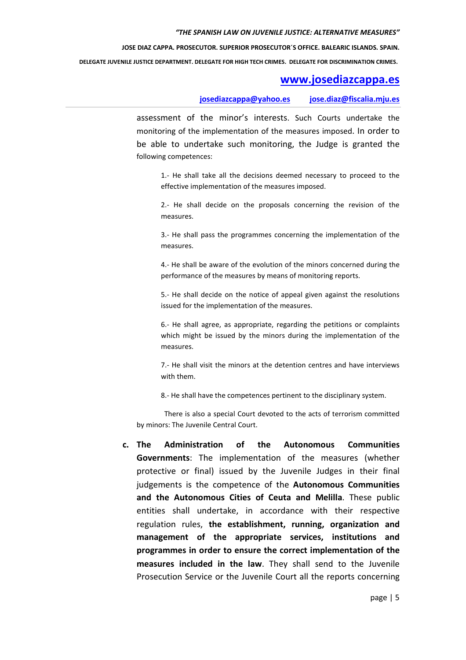**JOSE DIAZ CAPPA. PROSECUTOR. SUPERIOR PROSECUTOR´S OFFICE. BALEARIC ISLANDS. SPAIN.**

 **DELEGATE JUVENILE JUSTICE DEPARTMENT. DELEGATE FOR HIGH TECH CRIMES. DELEGATE FOR DISCRIMINATION CRIMES.** 

## **www.josediazcappa.es**

**josediazcappa@yahoo.es jose.diaz@fiscalia.mju.es** 

assessment of the minor's interests. Such Courts undertake the monitoring of the implementation of the measures imposed. In order to be able to undertake such monitoring, the Judge is granted the following competences:

1.- He shall take all the decisions deemed necessary to proceed to the effective implementation of the measures imposed.

2.- He shall decide on the proposals concerning the revision of the measures.

3.- He shall pass the programmes concerning the implementation of the measures.

4.- He shall be aware of the evolution of the minors concerned during the performance of the measures by means of monitoring reports.

5.- He shall decide on the notice of appeal given against the resolutions issued for the implementation of the measures.

6.- He shall agree, as appropriate, regarding the petitions or complaints which might be issued by the minors during the implementation of the measures.

7.- He shall visit the minors at the detention centres and have interviews with them.

8.- He shall have the competences pertinent to the disciplinary system.

There is also a special Court devoted to the acts of terrorism committed by minors: The Juvenile Central Court.

**c. The Administration of the Autonomous Communities Governments**: The implementation of the measures (whether protective or final) issued by the Juvenile Judges in their final judgements is the competence of the **Autonomous Communities and the Autonomous Cities of Ceuta and Melilla**. These public entities shall undertake, in accordance with their respective regulation rules, **the establishment, running, organization and management of the appropriate services, institutions and programmes in order to ensure the correct implementation of the measures included in the law**. They shall send to the Juvenile Prosecution Service or the Juvenile Court all the reports concerning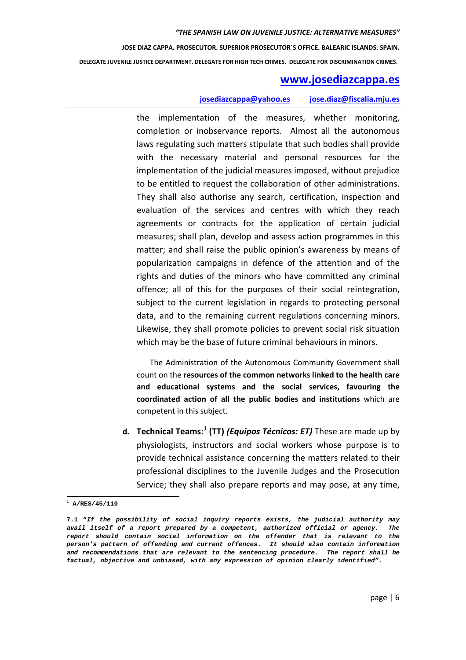#### **www.josediazcappa.es**

#### **josediazcappa@yahoo.es jose.diaz@fiscalia.mju.es**

the implementation of the measures, whether monitoring, completion or inobservance reports. Almost all the autonomous laws regulating such matters stipulate that such bodies shall provide with the necessary material and personal resources for the implementation of the judicial measures imposed, without prejudice to be entitled to request the collaboration of other administrations. They shall also authorise any search, certification, inspection and evaluation of the services and centres with which they reach agreements or contracts for the application of certain judicial measures; shall plan, develop and assess action programmes in this matter; and shall raise the public opinion's awareness by means of popularization campaigns in defence of the attention and of the rights and duties of the minors who have committed any criminal offence; all of this for the purposes of their social reintegration, subject to the current legislation in regards to protecting personal data, and to the remaining current regulations concerning minors. Likewise, they shall promote policies to prevent social risk situation which may be the base of future criminal behaviours in minors.

The Administration of the Autonomous Community Government shall count on the **resources of the common networks linked to the health care and educational systems and the social services, favouring the coordinated action of all the public bodies and institutions** which are competent in this subject.

**d. Technical Teams:<sup>1</sup> (TT)** *(Equipos Técnicos: ET)* These are made up by physiologists, instructors and social workers whose purpose is to provide technical assistance concerning the matters related to their professional disciplines to the Juvenile Judges and the Prosecution Service; they shall also prepare reports and may pose, at any time,

l

**<sup>1</sup> A/RES/45/110** 

**<sup>7.1 &</sup>quot;If the possibility of social inquiry reports exists, the judicial authority may avail itself of a report prepared by a competent, authorized official or agency. The report should contain social information on the offender that is relevant to the person's pattern of offending and current offences. It should also contain information and recommendations that are relevant to the sentencing procedure. The report shall be factual, objective and unbiased, with any expression of opinion clearly identified".**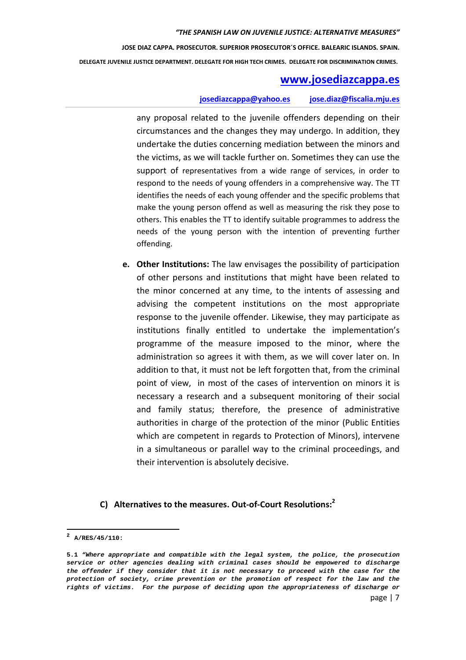## **www.josediazcappa.es**

#### **josediazcappa@yahoo.es jose.diaz@fiscalia.mju.es**

any proposal related to the juvenile offenders depending on their circumstances and the changes they may undergo. In addition, they undertake the duties concerning mediation between the minors and the victims, as we will tackle further on. Sometimes they can use the support of representatives from a wide range of services, in order to respond to the needs of young offenders in a comprehensive way. The TT identifies the needs of each young offender and the specific problems that make the young person offend as well as measuring the risk they pose to others. This enables the TT to identify suitable programmes to address the needs of the young person with the intention of preventing further offending.

**e. Other Institutions:** The law envisages the possibility of participation of other persons and institutions that might have been related to the minor concerned at any time, to the intents of assessing and advising the competent institutions on the most appropriate response to the juvenile offender. Likewise, they may participate as institutions finally entitled to undertake the implementation's programme of the measure imposed to the minor, where the administration so agrees it with them, as we will cover later on. In addition to that, it must not be left forgotten that, from the criminal point of view, in most of the cases of intervention on minors it is necessary a research and a subsequent monitoring of their social and family status; therefore, the presence of administrative authorities in charge of the protection of the minor (Public Entities which are competent in regards to Protection of Minors), intervene in a simultaneous or parallel way to the criminal proceedings, and their intervention is absolutely decisive.

## **C) Alternatives to the measures. Out-of-Court Resolutions:<sup>2</sup>**

l

**<sup>2</sup> A/RES/45/110:** 

**<sup>5.1</sup> "Where appropriate and compatible with the legal system, the police, the prosecution service or other agencies dealing with criminal cases should be empowered to discharge the offender if they consider that it is not necessary to proceed with the case for the protection of society, crime prevention or the promotion of respect for the law and the rights of victims. For the purpose of deciding upon the appropriateness of discharge or**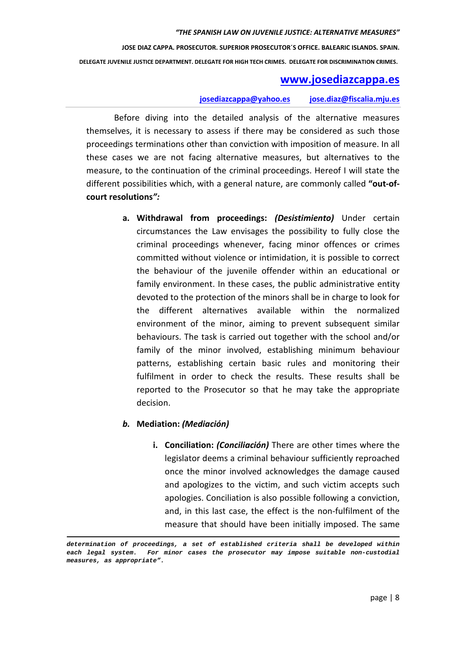**JOSE DIAZ CAPPA. PROSECUTOR. SUPERIOR PROSECUTOR´S OFFICE. BALEARIC ISLANDS. SPAIN.**

 **DELEGATE JUVENILE JUSTICE DEPARTMENT. DELEGATE FOR HIGH TECH CRIMES. DELEGATE FOR DISCRIMINATION CRIMES.** 

#### **www.josediazcappa.es**

#### **josediazcappa@yahoo.es jose.diaz@fiscalia.mju.es**

Before diving into the detailed analysis of the alternative measures themselves, it is necessary to assess if there may be considered as such those proceedings terminations other than conviction with imposition of measure. In all these cases we are not facing alternative measures, but alternatives to the measure, to the continuation of the criminal proceedings. Hereof I will state the different possibilities which, with a general nature, are commonly called **"out-ofcourt resolutions***":*

> **a. Withdrawal from proceedings:** *(Desistimiento)* Under certain circumstances the Law envisages the possibility to fully close the criminal proceedings whenever, facing minor offences or crimes committed without violence or intimidation, it is possible to correct the behaviour of the juvenile offender within an educational or family environment. In these cases, the public administrative entity devoted to the protection of the minors shall be in charge to look for the different alternatives available within the normalized environment of the minor, aiming to prevent subsequent similar behaviours. The task is carried out together with the school and/or family of the minor involved, establishing minimum behaviour patterns, establishing certain basic rules and monitoring their fulfilment in order to check the results. These results shall be reported to the Prosecutor so that he may take the appropriate decision.

#### *b.* **Mediation:** *(Mediación)*

-

**i. Conciliation:** *(Conciliación)* There are other times where the legislator deems a criminal behaviour sufficiently reproached once the minor involved acknowledges the damage caused and apologizes to the victim, and such victim accepts such apologies. Conciliation is also possible following a conviction, and, in this last case, the effect is the non-fulfilment of the measure that should have been initially imposed. The same

**determination of proceedings, a set of established criteria shall be developed within each legal system. For minor cases the prosecutor may impose suitable non-custodial measures, as appropriate".**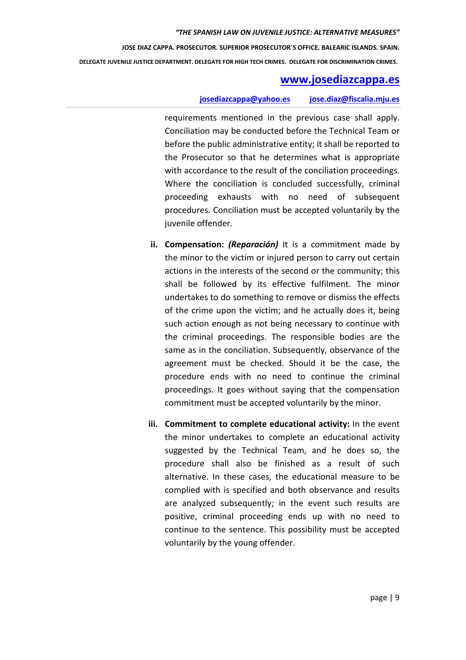## **www.josediazcappa.es**

#### **josediazcappa@yahoo.es jose.diaz@fiscalia.mju.es**

requirements mentioned in the previous case shall apply. Conciliation may be conducted before the Technical Team or before the public administrative entity; it shall be reported to the Prosecutor so that he determines what is appropriate with accordance to the result of the conciliation proceedings. Where the conciliation is concluded successfully, criminal proceeding exhausts with no need of subsequent procedures. Conciliation must be accepted voluntarily by the juvenile offender.

- **ii. Compensation:** *(Reparación)* It is a commitment made by the minor to the victim or injured person to carry out certain actions in the interests of the second or the community; this shall be followed by its effective fulfilment. The minor undertakes to do something to remove or dismiss the effects of the crime upon the victim; and he actually does it, being such action enough as not being necessary to continue with the criminal proceedings. The responsible bodies are the same as in the conciliation. Subsequently, observance of the agreement must be checked. Should it be the case, the procedure ends with no need to continue the criminal proceedings. It goes without saying that the compensation commitment must be accepted voluntarily by the minor.
- **iii. Commitment to complete educational activity:** In the event the minor undertakes to complete an educational activity suggested by the Technical Team, and he does so, the procedure shall also be finished as a result of such alternative. In these cases, the educational measure to be complied with is specified and both observance and results are analyzed subsequently; in the event such results are positive, criminal proceeding ends up with no need to continue to the sentence. This possibility must be accepted voluntarily by the young offender.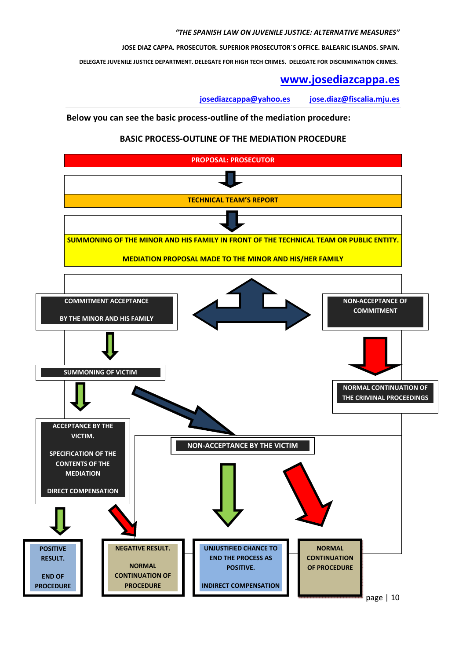**JOSE DIAZ CAPPA. PROSECUTOR. SUPERIOR PROSECUTOR´S OFFICE. BALEARIC ISLANDS. SPAIN.**

 **DELEGATE JUVENILE JUSTICE DEPARTMENT. DELEGATE FOR HIGH TECH CRIMES. DELEGATE FOR DISCRIMINATION CRIMES.** 

## **www.josediazcappa.es**

**josediazcappa@yahoo.es jose.diaz@fiscalia.mju.es** 

#### **Below you can see the basic process-outline of the mediation procedure:**

#### **BASIC PROCESS-OUTLINE OF THE MEDIATION PROCEDURE**

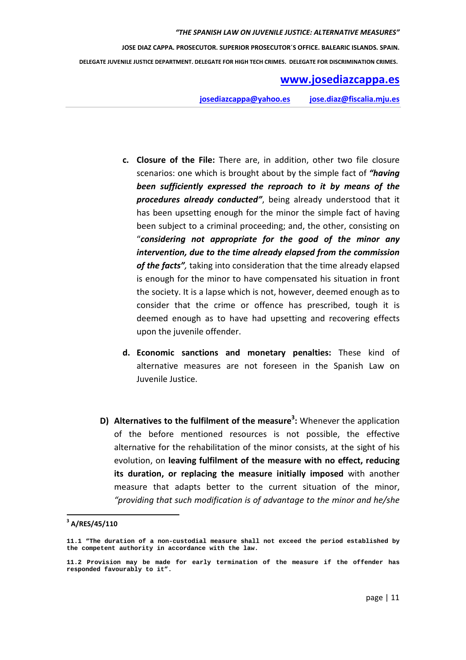# **www.josediazcappa.es**

**josediazcappa@yahoo.es jose.diaz@fiscalia.mju.es** 

- **c. Closure of the File:** There are, in addition, other two file closure scenarios: one which is brought about by the simple fact of *"having been sufficiently expressed the reproach to it by means of the procedures already conducted"*, being already understood that it has been upsetting enough for the minor the simple fact of having been subject to a criminal proceeding; and, the other, consisting on "*considering not appropriate for the good of the minor any intervention, due to the time already elapsed from the commission of the facts",* taking into consideration that the time already elapsed is enough for the minor to have compensated his situation in front the society. It is a lapse which is not, however, deemed enough as to consider that the crime or offence has prescribed, tough it is deemed enough as to have had upsetting and recovering effects upon the juvenile offender.
- **d. Economic sanctions and monetary penalties:** These kind of alternative measures are not foreseen in the Spanish Law on Juvenile Justice.
- **D) Alternatives to the fulfilment of the measure<sup>3</sup> :** Whenever the application of the before mentioned resources is not possible, the effective alternative for the rehabilitation of the minor consists, at the sight of his evolution, on **leaving fulfilment of the measure with no effect, reducing its duration, or replacing the measure initially imposed** with another measure that adapts better to the current situation of the minor, *"providing that such modification is of advantage to the minor and he/she*

l

**<sup>3</sup> A/RES/45/110** 

**<sup>11.1 &</sup>quot;The duration of a non-custodial measure shall not exceed the period established by the competent authority in accordance with the law.**

**<sup>11.2</sup> Provision may be made for early termination of the measure if the offender has responded favourably to it".**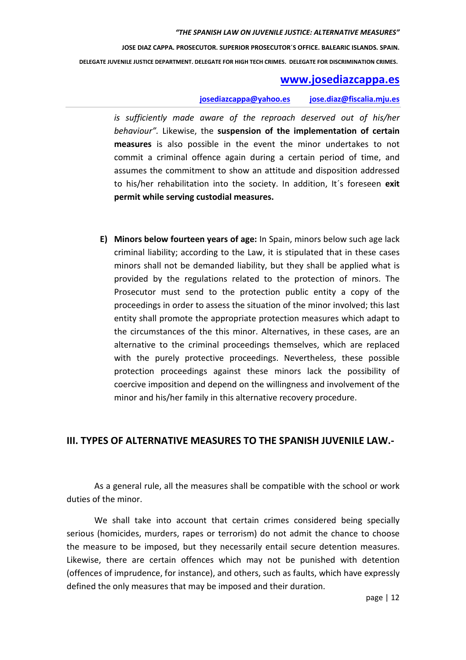**JOSE DIAZ CAPPA. PROSECUTOR. SUPERIOR PROSECUTOR´S OFFICE. BALEARIC ISLANDS. SPAIN.**

 **DELEGATE JUVENILE JUSTICE DEPARTMENT. DELEGATE FOR HIGH TECH CRIMES. DELEGATE FOR DISCRIMINATION CRIMES.** 

## **www.josediazcappa.es**

#### **josediazcappa@yahoo.es jose.diaz@fiscalia.mju.es**

*is sufficiently made aware of the reproach deserved out of his/her behaviour".* Likewise, the **suspension of the implementation of certain measures** is also possible in the event the minor undertakes to not commit a criminal offence again during a certain period of time, and assumes the commitment to show an attitude and disposition addressed to his/her rehabilitation into the society. In addition, It´s foreseen **exit permit while serving custodial measures.** 

**E) Minors below fourteen years of age:** In Spain, minors below such age lack criminal liability; according to the Law, it is stipulated that in these cases minors shall not be demanded liability, but they shall be applied what is provided by the regulations related to the protection of minors. The Prosecutor must send to the protection public entity a copy of the proceedings in order to assess the situation of the minor involved; this last entity shall promote the appropriate protection measures which adapt to the circumstances of the this minor. Alternatives, in these cases, are an alternative to the criminal proceedings themselves, which are replaced with the purely protective proceedings. Nevertheless, these possible protection proceedings against these minors lack the possibility of coercive imposition and depend on the willingness and involvement of the minor and his/her family in this alternative recovery procedure.

#### **III. TYPES OF ALTERNATIVE MEASURES TO THE SPANISH JUVENILE LAW.-**

As a general rule, all the measures shall be compatible with the school or work duties of the minor.

We shall take into account that certain crimes considered being specially serious (homicides, murders, rapes or terrorism) do not admit the chance to choose the measure to be imposed, but they necessarily entail secure detention measures. Likewise, there are certain offences which may not be punished with detention (offences of imprudence, for instance), and others, such as faults, which have expressly defined the only measures that may be imposed and their duration.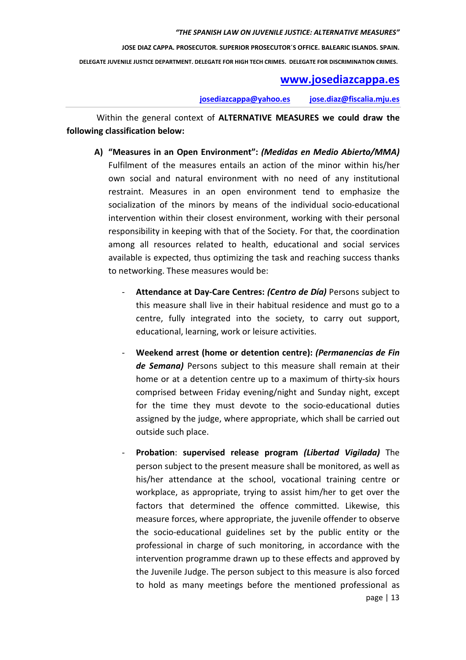## **www.josediazcappa.es**

**josediazcappa@yahoo.es jose.diaz@fiscalia.mju.es** 

 Within the general context of **ALTERNATIVE MEASURES we could draw the following classification below:** 

- **A) "Measures in an Open Environment":** *(Medidas en Medio Abierto/MMA)* Fulfilment of the measures entails an action of the minor within his/her own social and natural environment with no need of any institutional restraint. Measures in an open environment tend to emphasize the socialization of the minors by means of the individual socio-educational intervention within their closest environment, working with their personal responsibility in keeping with that of the Society. For that, the coordination among all resources related to health, educational and social services available is expected, thus optimizing the task and reaching success thanks to networking. These measures would be:
	- **Attendance at Day-Care Centres:** *(Centro de Día)* Persons subject to this measure shall live in their habitual residence and must go to a centre, fully integrated into the society, to carry out support, educational, learning, work or leisure activities.
	- **Weekend arrest (home or detention centre):** *(Permanencias de Fin de Semana)* Persons subject to this measure shall remain at their home or at a detention centre up to a maximum of thirty-six hours comprised between Friday evening/night and Sunday night, except for the time they must devote to the socio-educational duties assigned by the judge, where appropriate, which shall be carried out outside such place.
	- page | 13 - **Probation**: **supervised release program** *(Libertad Vigilada)* The person subject to the present measure shall be monitored, as well as his/her attendance at the school, vocational training centre or workplace, as appropriate, trying to assist him/her to get over the factors that determined the offence committed. Likewise, this measure forces, where appropriate, the juvenile offender to observe the socio-educational guidelines set by the public entity or the professional in charge of such monitoring, in accordance with the intervention programme drawn up to these effects and approved by the Juvenile Judge. The person subject to this measure is also forced to hold as many meetings before the mentioned professional as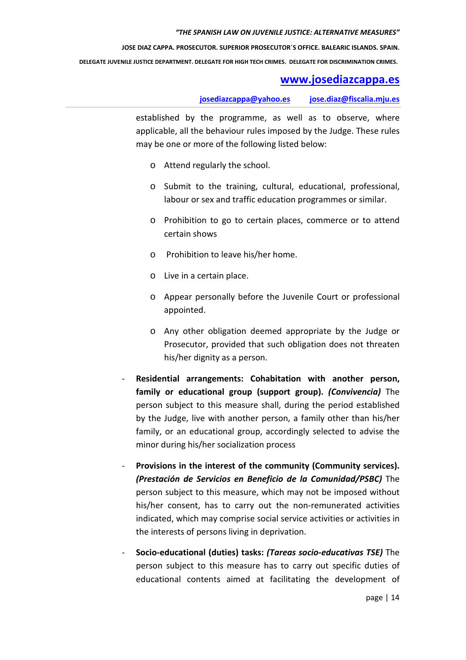**JOSE DIAZ CAPPA. PROSECUTOR. SUPERIOR PROSECUTOR´S OFFICE. BALEARIC ISLANDS. SPAIN.**

 **DELEGATE JUVENILE JUSTICE DEPARTMENT. DELEGATE FOR HIGH TECH CRIMES. DELEGATE FOR DISCRIMINATION CRIMES.** 

## **www.josediazcappa.es**

**josediazcappa@yahoo.es jose.diaz@fiscalia.mju.es** 

established by the programme, as well as to observe, where applicable, all the behaviour rules imposed by the Judge. These rules may be one or more of the following listed below:

- o Attend regularly the school.
- o Submit to the training, cultural, educational, professional, labour or sex and traffic education programmes or similar.
- o Prohibition to go to certain places, commerce or to attend certain shows
- o Prohibition to leave his/her home.
- o Live in a certain place.
- o Appear personally before the Juvenile Court or professional appointed.
- o Any other obligation deemed appropriate by the Judge or Prosecutor, provided that such obligation does not threaten his/her dignity as a person.
- **Residential arrangements: Cohabitation with another person, family or educational group (support group).** *(Convivencia)* The person subject to this measure shall, during the period established by the Judge, live with another person, a family other than his/her family, or an educational group, accordingly selected to advise the minor during his/her socialization process
- Provisions in the interest of the community (Community services). *(Prestación de Servicios en Beneficio de la Comunidad/PSBC)* The person subject to this measure, which may not be imposed without his/her consent, has to carry out the non-remunerated activities indicated, which may comprise social service activities or activities in the interests of persons living in deprivation.
- **Socio-educational (duties) tasks:** *(Tareas socio-educativas TSE)* The person subject to this measure has to carry out specific duties of educational contents aimed at facilitating the development of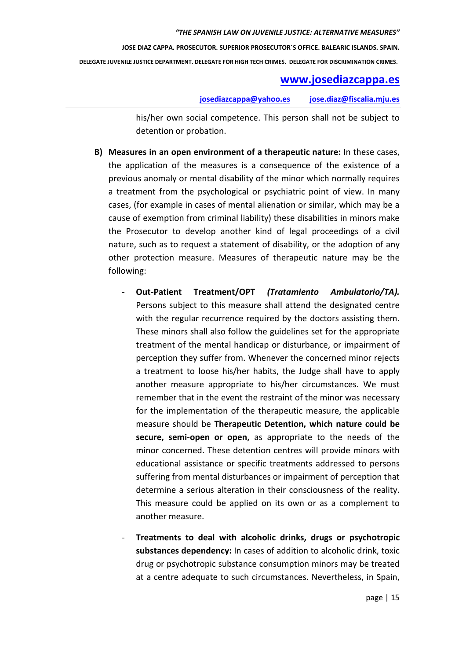**JOSE DIAZ CAPPA. PROSECUTOR. SUPERIOR PROSECUTOR´S OFFICE. BALEARIC ISLANDS. SPAIN.**

 **DELEGATE JUVENILE JUSTICE DEPARTMENT. DELEGATE FOR HIGH TECH CRIMES. DELEGATE FOR DISCRIMINATION CRIMES.** 

## **www.josediazcappa.es**

**josediazcappa@yahoo.es jose.diaz@fiscalia.mju.es** 

his/her own social competence. This person shall not be subject to detention or probation.

- **B) Measures in an open environment of a therapeutic nature:** In these cases, the application of the measures is a consequence of the existence of a previous anomaly or mental disability of the minor which normally requires a treatment from the psychological or psychiatric point of view. In many cases, (for example in cases of mental alienation or similar, which may be a cause of exemption from criminal liability) these disabilities in minors make the Prosecutor to develop another kind of legal proceedings of a civil nature, such as to request a statement of disability, or the adoption of any other protection measure. Measures of therapeutic nature may be the following:
	- **Out-Patient Treatment/OPT** *(Tratamiento Ambulatorio/TA).* Persons subject to this measure shall attend the designated centre with the regular recurrence required by the doctors assisting them. These minors shall also follow the guidelines set for the appropriate treatment of the mental handicap or disturbance, or impairment of perception they suffer from. Whenever the concerned minor rejects a treatment to loose his/her habits, the Judge shall have to apply another measure appropriate to his/her circumstances. We must remember that in the event the restraint of the minor was necessary for the implementation of the therapeutic measure, the applicable measure should be **Therapeutic Detention, which nature could be secure, semi-open or open,** as appropriate to the needs of the minor concerned. These detention centres will provide minors with educational assistance or specific treatments addressed to persons suffering from mental disturbances or impairment of perception that determine a serious alteration in their consciousness of the reality. This measure could be applied on its own or as a complement to another measure.
	- **Treatments to deal with alcoholic drinks, drugs or psychotropic substances dependency:** In cases of addition to alcoholic drink, toxic drug or psychotropic substance consumption minors may be treated at a centre adequate to such circumstances. Nevertheless, in Spain,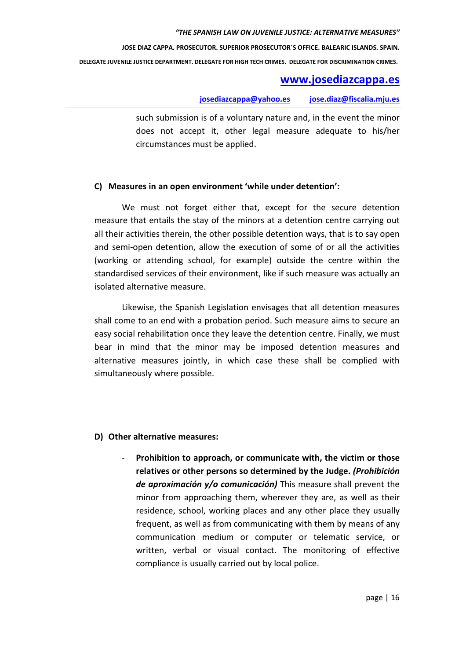**JOSE DIAZ CAPPA. PROSECUTOR. SUPERIOR PROSECUTOR´S OFFICE. BALEARIC ISLANDS. SPAIN.**

 **DELEGATE JUVENILE JUSTICE DEPARTMENT. DELEGATE FOR HIGH TECH CRIMES. DELEGATE FOR DISCRIMINATION CRIMES.** 

## **www.josediazcappa.es**

**josediazcappa@yahoo.es jose.diaz@fiscalia.mju.es** 

such submission is of a voluntary nature and, in the event the minor does not accept it, other legal measure adequate to his/her circumstances must be applied.

#### **C) Measures in an open environment 'while under detention':**

We must not forget either that, except for the secure detention measure that entails the stay of the minors at a detention centre carrying out all their activities therein, the other possible detention ways, that is to say open and semi-open detention, allow the execution of some of or all the activities (working or attending school, for example) outside the centre within the standardised services of their environment, like if such measure was actually an isolated alternative measure.

Likewise, the Spanish Legislation envisages that all detention measures shall come to an end with a probation period. Such measure aims to secure an easy social rehabilitation once they leave the detention centre. Finally, we must bear in mind that the minor may be imposed detention measures and alternative measures jointly, in which case these shall be complied with simultaneously where possible.

#### **D) Other alternative measures:**

- **Prohibition to approach, or communicate with, the victim or those relatives or other persons so determined by the Judge.** *(Prohibición de aproximación y/o comunicación)* This measure shall prevent the minor from approaching them, wherever they are, as well as their residence, school, working places and any other place they usually frequent, as well as from communicating with them by means of any communication medium or computer or telematic service, or written, verbal or visual contact. The monitoring of effective compliance is usually carried out by local police.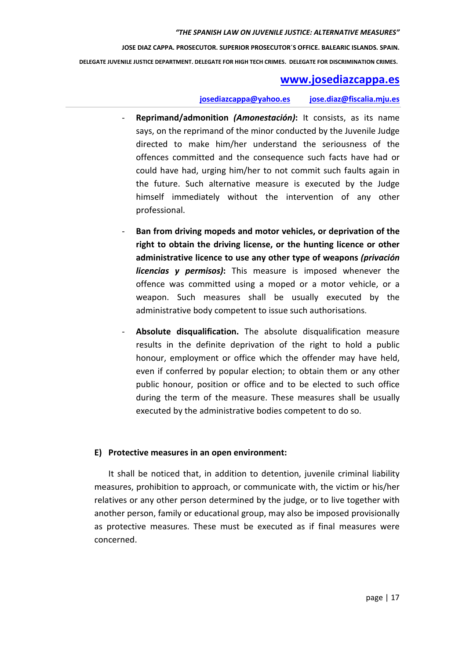## **www.josediazcappa.es**

#### **josediazcappa@yahoo.es jose.diaz@fiscalia.mju.es**

- **Reprimand/admonition** *(Amonestación)***:** It consists, as its name says, on the reprimand of the minor conducted by the Juvenile Judge directed to make him/her understand the seriousness of the offences committed and the consequence such facts have had or could have had, urging him/her to not commit such faults again in the future. Such alternative measure is executed by the Judge himself immediately without the intervention of any other professional.
- **Ban from driving mopeds and motor vehicles, or deprivation of the right to obtain the driving license, or the hunting licence or other administrative licence to use any other type of weapons** *(privación licencias y permisos)***:** This measure is imposed whenever the offence was committed using a moped or a motor vehicle, or a weapon. Such measures shall be usually executed by the administrative body competent to issue such authorisations.
- Absolute disqualification. The absolute disqualification measure results in the definite deprivation of the right to hold a public honour, employment or office which the offender may have held, even if conferred by popular election; to obtain them or any other public honour, position or office and to be elected to such office during the term of the measure. These measures shall be usually executed by the administrative bodies competent to do so.

#### **E) Protective measures in an open environment:**

It shall be noticed that, in addition to detention, juvenile criminal liability measures, prohibition to approach, or communicate with, the victim or his/her relatives or any other person determined by the judge, or to live together with another person, family or educational group, may also be imposed provisionally as protective measures. These must be executed as if final measures were concerned.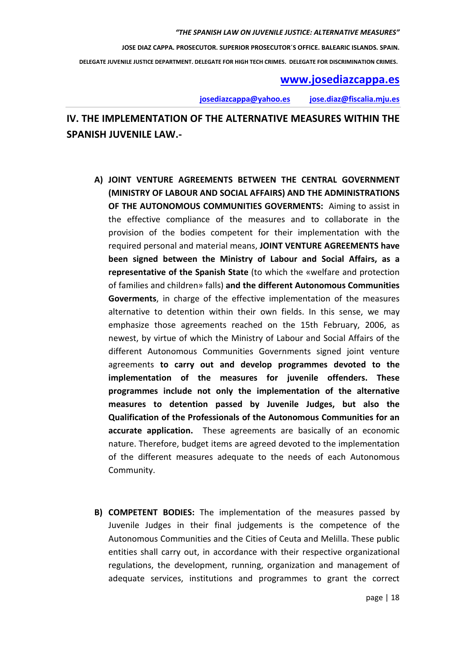## **www.josediazcappa.es**

**josediazcappa@yahoo.es jose.diaz@fiscalia.mju.es** 

# **IV. THE IMPLEMENTATION OF THE ALTERNATIVE MEASURES WITHIN THE SPANISH JUVENILE LAW.-**

- **A) JOINT VENTURE AGREEMENTS BETWEEN THE CENTRAL GOVERNMENT (MINISTRY OF LABOUR AND SOCIAL AFFAIRS) AND THE ADMINISTRATIONS OF THE AUTONOMOUS COMMUNITIES GOVERMENTS:** Aiming to assist in the effective compliance of the measures and to collaborate in the provision of the bodies competent for their implementation with the required personal and material means, **JOINT VENTURE AGREEMENTS have been signed between the Ministry of Labour and Social Affairs, as a representative of the Spanish State** (to which the «welfare and protection of families and children» falls) **and the different Autonomous Communities Goverments**, in charge of the effective implementation of the measures alternative to detention within their own fields. In this sense, we may emphasize those agreements reached on the 15th February, 2006, as newest, by virtue of which the Ministry of Labour and Social Affairs of the different Autonomous Communities Governments signed joint venture agreements **to carry out and develop programmes devoted to the implementation of the measures for juvenile offenders. These programmes include not only the implementation of the alternative measures to detention passed by Juvenile Judges, but also the Qualification of the Professionals of the Autonomous Communities for an accurate application.** These agreements are basically of an economic nature. Therefore, budget items are agreed devoted to the implementation of the different measures adequate to the needs of each Autonomous Community.
- **B) COMPETENT BODIES:** The implementation of the measures passed by Juvenile Judges in their final judgements is the competence of the Autonomous Communities and the Cities of Ceuta and Melilla. These public entities shall carry out, in accordance with their respective organizational regulations, the development, running, organization and management of adequate services, institutions and programmes to grant the correct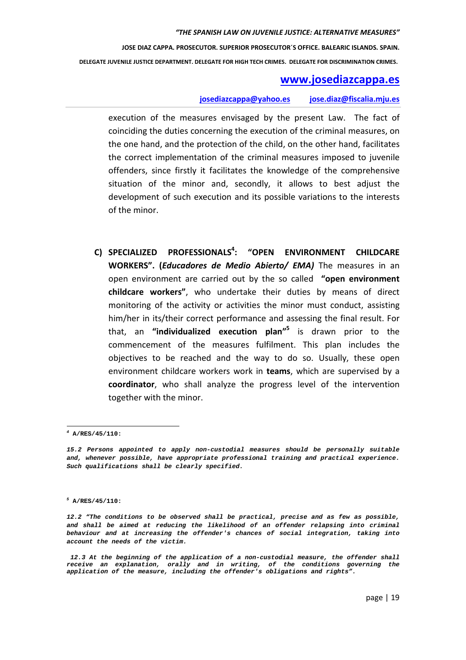**JOSE DIAZ CAPPA. PROSECUTOR. SUPERIOR PROSECUTOR´S OFFICE. BALEARIC ISLANDS. SPAIN.**

 **DELEGATE JUVENILE JUSTICE DEPARTMENT. DELEGATE FOR HIGH TECH CRIMES. DELEGATE FOR DISCRIMINATION CRIMES.** 

#### **www.josediazcappa.es**

#### **josediazcappa@yahoo.es jose.diaz@fiscalia.mju.es**

execution of the measures envisaged by the present Law. The fact of coinciding the duties concerning the execution of the criminal measures, on the one hand, and the protection of the child, on the other hand, facilitates the correct implementation of the criminal measures imposed to juvenile offenders, since firstly it facilitates the knowledge of the comprehensive situation of the minor and, secondly, it allows to best adjust the development of such execution and its possible variations to the interests of the minor.

**C) SPECIALIZED PROFESSIONALS<sup>4</sup> : "OPEN ENVIRONMENT CHILDCARE WORKERS". (***Educadores de Medio Abierto/ EMA)* The measures in an open environment are carried out by the so called **"open environment childcare workers"**, who undertake their duties by means of direct monitoring of the activity or activities the minor must conduct, assisting him/her in its/their correct performance and assessing the final result. For that, an **"individualized execution plan"<sup>5</sup>** is drawn prior to the commencement of the measures fulfilment. This plan includes the objectives to be reached and the way to do so. Usually, these open environment childcare workers work in **teams**, which are supervised by a **coordinator**, who shall analyze the progress level of the intervention together with the minor.

**<sup>4</sup> A/RES/45/110:** 

**<sup>15.2</sup> Persons appointed to apply non-custodial measures should be personally suitable and, whenever possible, have appropriate professional training and practical experience. Such qualifications shall be clearly specified.** 

**<sup>5</sup> A/RES/45/110:** 

**<sup>12.2 &</sup>quot;The conditions to be observed shall be practical, precise and as few as possible, and shall be aimed at reducing the likelihood of an offender relapsing into criminal behaviour and at increasing the offender's chances of social integration, taking into account the needs of the victim.** 

 **<sup>12.3</sup> At the beginning of the application of a non-custodial measure, the offender shall receive an explanation, orally and in writing, of the conditions governing the application of the measure, including the offender's obligations and rights".**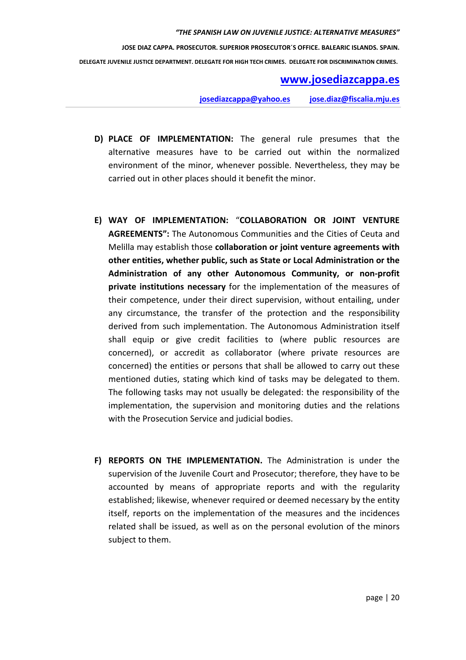## **www.josediazcappa.es**

**josediazcappa@yahoo.es jose.diaz@fiscalia.mju.es** 

- **D) PLACE OF IMPLEMENTATION:** The general rule presumes that the alternative measures have to be carried out within the normalized environment of the minor, whenever possible. Nevertheless, they may be carried out in other places should it benefit the minor.
- **E) WAY OF IMPLEMENTATION:** "**COLLABORATION OR JOINT VENTURE AGREEMENTS":** The Autonomous Communities and the Cities of Ceuta and Melilla may establish those **collaboration or joint venture agreements with other entities, whether public, such as State or Local Administration or the Administration of any other Autonomous Community, or non-profit private institutions necessary** for the implementation of the measures of their competence, under their direct supervision, without entailing, under any circumstance, the transfer of the protection and the responsibility derived from such implementation. The Autonomous Administration itself shall equip or give credit facilities to (where public resources are concerned), or accredit as collaborator (where private resources are concerned) the entities or persons that shall be allowed to carry out these mentioned duties, stating which kind of tasks may be delegated to them. The following tasks may not usually be delegated: the responsibility of the implementation, the supervision and monitoring duties and the relations with the Prosecution Service and judicial bodies.
- **F) REPORTS ON THE IMPLEMENTATION.** The Administration is under the supervision of the Juvenile Court and Prosecutor; therefore, they have to be accounted by means of appropriate reports and with the regularity established; likewise, whenever required or deemed necessary by the entity itself, reports on the implementation of the measures and the incidences related shall be issued, as well as on the personal evolution of the minors subject to them.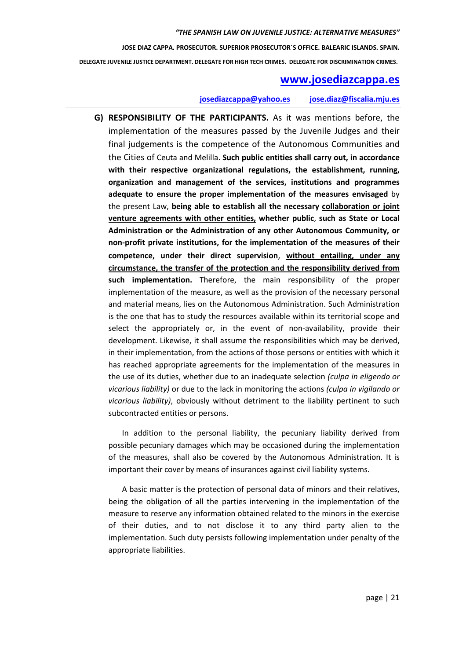## **www.josediazcappa.es**

#### **josediazcappa@yahoo.es jose.diaz@fiscalia.mju.es**

**G) RESPONSIBILITY OF THE PARTICIPANTS.** As it was mentions before, the implementation of the measures passed by the Juvenile Judges and their final judgements is the competence of the Autonomous Communities and the Cities of Ceuta and Melilla. **Such public entities shall carry out, in accordance with their respective organizational regulations, the establishment, running, organization and management of the services, institutions and programmes adequate to ensure the proper implementation of the measures envisaged** by the present Law, **being able to establish all the necessary collaboration or joint venture agreements with other entities, whether public**, **such as State or Local Administration or the Administration of any other Autonomous Community, or non-profit private institutions, for the implementation of the measures of their competence, under their direct supervision**, **without entailing, under any circumstance, the transfer of the protection and the responsibility derived from such implementation.** Therefore, the main responsibility of the proper implementation of the measure, as well as the provision of the necessary personal and material means, lies on the Autonomous Administration. Such Administration is the one that has to study the resources available within its territorial scope and select the appropriately or, in the event of non-availability, provide their development. Likewise, it shall assume the responsibilities which may be derived, in their implementation, from the actions of those persons or entities with which it has reached appropriate agreements for the implementation of the measures in the use of its duties, whether due to an inadequate selection *(culpa in eligendo or vicarious liability)* or due to the lack in monitoring the actions *(culpa in vigilando or vicarious liability)*, obviously without detriment to the liability pertinent to such subcontracted entities or persons.

In addition to the personal liability, the pecuniary liability derived from possible pecuniary damages which may be occasioned during the implementation of the measures, shall also be covered by the Autonomous Administration. It is important their cover by means of insurances against civil liability systems.

A basic matter is the protection of personal data of minors and their relatives, being the obligation of all the parties intervening in the implementation of the measure to reserve any information obtained related to the minors in the exercise of their duties, and to not disclose it to any third party alien to the implementation. Such duty persists following implementation under penalty of the appropriate liabilities.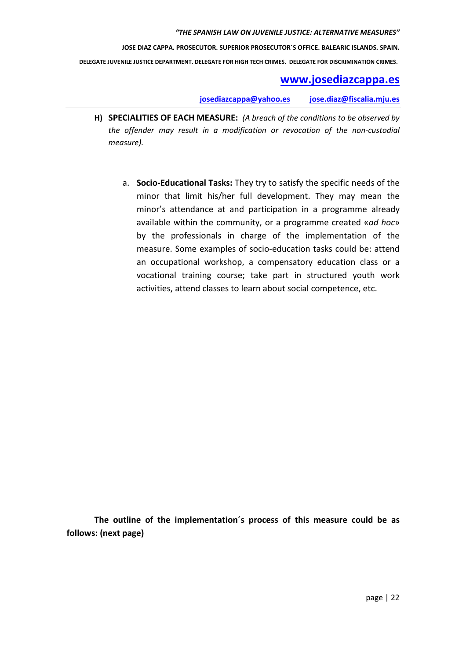## **www.josediazcappa.es**

**josediazcappa@yahoo.es jose.diaz@fiscalia.mju.es** 

- **H) SPECIALITIES OF EACH MEASURE:** *(A breach of the conditions to be observed by the offender may result in a modification or revocation of the non-custodial measure).* 
	- a. **Socio-Educational Tasks:** They try to satisfy the specific needs of the minor that limit his/her full development. They may mean the minor's attendance at and participation in a programme already available within the community, or a programme created «*ad hoc*» by the professionals in charge of the implementation of the measure. Some examples of socio-education tasks could be: attend an occupational workshop, a compensatory education class or a vocational training course; take part in structured youth work activities, attend classes to learn about social competence, etc.

**The outline of the implementation´s process of this measure could be as follows: (next page)**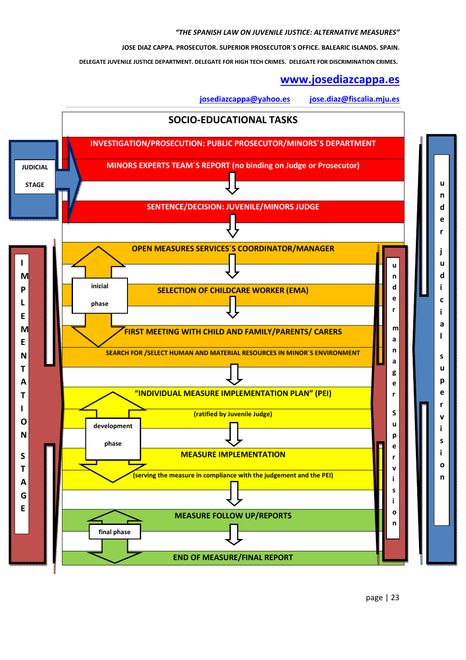**JOSE DIAZ CAPPA. PROSECUTOR. SUPERIOR PROSECUTOR´S OFFICE. BALEARIC ISLANDS. SPAIN.**

 **DELEGATE JUVENILE JUSTICE DEPARTMENT. DELEGATE FOR HIGH TECH CRIMES. DELEGATE FOR DISCRIMINATION CRIMES.** 

## **www.josediazcappa.es**

**josediazcappa@yahoo.es jose.diaz@fiscalia.mju.es** 

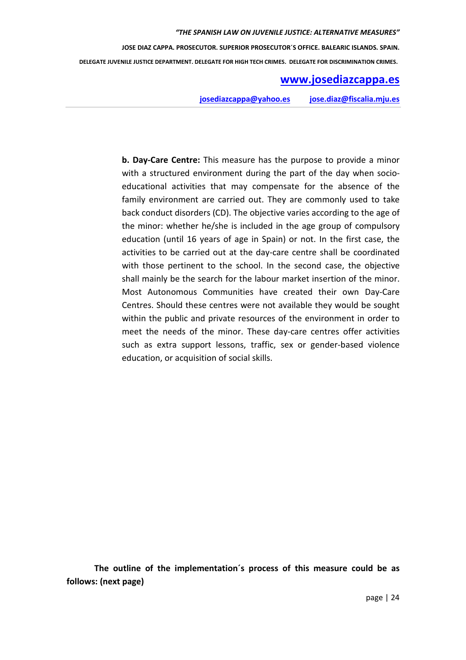## **www.josediazcappa.es**

**josediazcappa@yahoo.es jose.diaz@fiscalia.mju.es** 

**b. Day-Care Centre:** This measure has the purpose to provide a minor with a structured environment during the part of the day when socioeducational activities that may compensate for the absence of the family environment are carried out. They are commonly used to take back conduct disorders (CD). The objective varies according to the age of the minor: whether he/she is included in the age group of compulsory education (until 16 years of age in Spain) or not. In the first case, the activities to be carried out at the day-care centre shall be coordinated with those pertinent to the school. In the second case, the objective shall mainly be the search for the labour market insertion of the minor. Most Autonomous Communities have created their own Day-Care Centres. Should these centres were not available they would be sought within the public and private resources of the environment in order to meet the needs of the minor. These day-care centres offer activities such as extra support lessons, traffic, sex or gender-based violence education, or acquisition of social skills.

**The outline of the implementation´s process of this measure could be as follows: (next page)**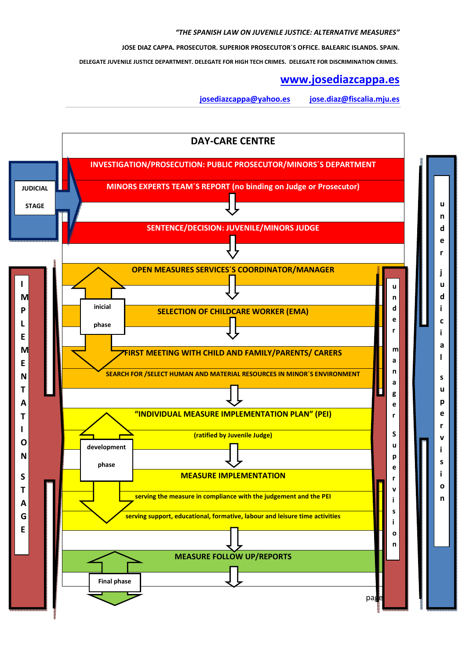**JOSE DIAZ CAPPA. PROSECUTOR. SUPERIOR PROSECUTOR´S OFFICE. BALEARIC ISLANDS. SPAIN.**

 **DELEGATE JUVENILE JUSTICE DEPARTMENT. DELEGATE FOR HIGH TECH CRIMES. DELEGATE FOR DISCRIMINATION CRIMES.** 

#### **www.josediazcappa.es**

**josediazcappa@yahoo.es jose.diaz@fiscalia.mju.es** 

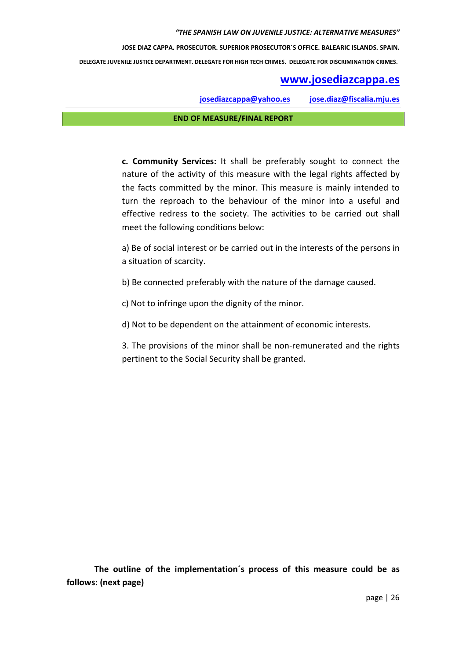## **www.josediazcappa.es**

**josediazcappa@yahoo.es jose.diaz@fiscalia.mju.es** 

#### **END OF MEASURE/FINAL REPORT**

**c. Community Services:** It shall be preferably sought to connect the nature of the activity of this measure with the legal rights affected by the facts committed by the minor. This measure is mainly intended to turn the reproach to the behaviour of the minor into a useful and effective redress to the society. The activities to be carried out shall meet the following conditions below:

a) Be of social interest or be carried out in the interests of the persons in a situation of scarcity.

b) Be connected preferably with the nature of the damage caused.

c) Not to infringe upon the dignity of the minor.

d) Not to be dependent on the attainment of economic interests.

3. The provisions of the minor shall be non-remunerated and the rights pertinent to the Social Security shall be granted.

**The outline of the implementation´s process of this measure could be as follows: (next page)**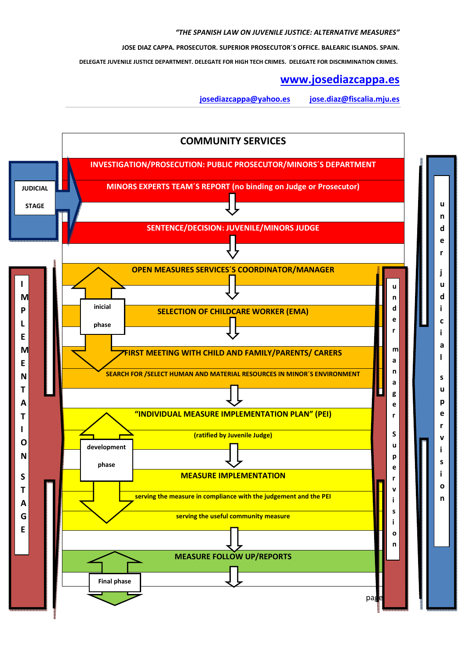**JOSE DIAZ CAPPA. PROSECUTOR. SUPERIOR PROSECUTOR´S OFFICE. BALEARIC ISLANDS. SPAIN.**

 **DELEGATE JUVENILE JUSTICE DEPARTMENT. DELEGATE FOR HIGH TECH CRIMES. DELEGATE FOR DISCRIMINATION CRIMES.** 

#### **www.josediazcappa.es**

**josediazcappa@yahoo.es jose.diaz@fiscalia.mju.es** 

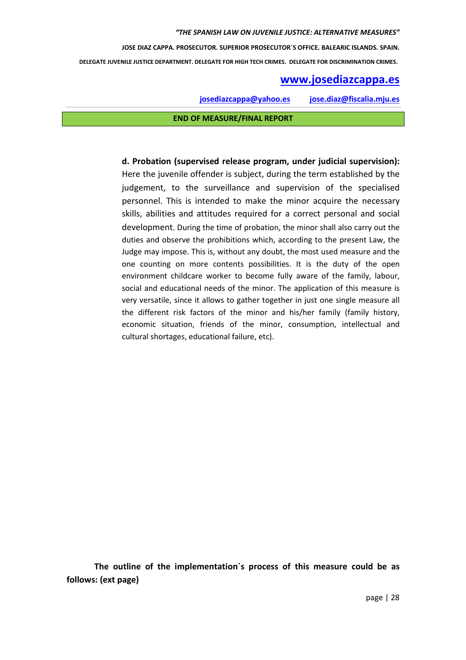## **www.josediazcappa.es**

**josediazcappa@yahoo.es jose.diaz@fiscalia.mju.es** 

#### **END OF MEASURE/FINAL REPORT**

**d. Probation (supervised release program, under judicial supervision):**  Here the juvenile offender is subject, during the term established by the judgement, to the surveillance and supervision of the specialised personnel. This is intended to make the minor acquire the necessary skills, abilities and attitudes required for a correct personal and social development. During the time of probation, the minor shall also carry out the duties and observe the prohibitions which, according to the present Law, the Judge may impose. This is, without any doubt, the most used measure and the one counting on more contents possibilities. It is the duty of the open environment childcare worker to become fully aware of the family, labour, social and educational needs of the minor. The application of this measure is very versatile, since it allows to gather together in just one single measure all the different risk factors of the minor and his/her family (family history, economic situation, friends of the minor, consumption, intellectual and cultural shortages, educational failure, etc).

**The outline of the implementation´s process of this measure could be as follows: (ext page)**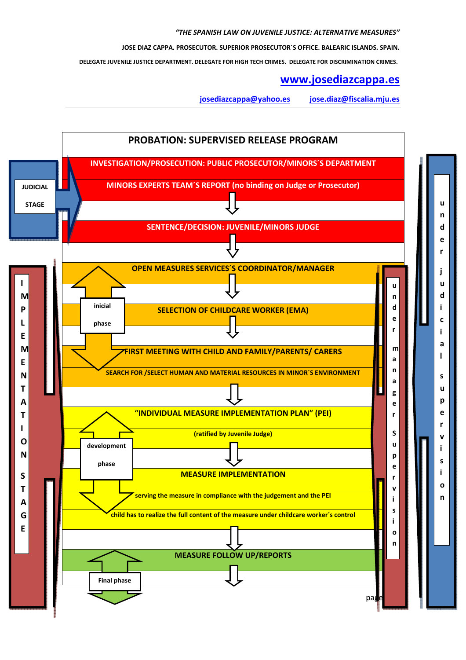**JOSE DIAZ CAPPA. PROSECUTOR. SUPERIOR PROSECUTOR´S OFFICE. BALEARIC ISLANDS. SPAIN.**

 **DELEGATE JUVENILE JUSTICE DEPARTMENT. DELEGATE FOR HIGH TECH CRIMES. DELEGATE FOR DISCRIMINATION CRIMES.** 

## **www.josediazcappa.es**

**josediazcappa@yahoo.es jose.diaz@fiscalia.mju.es** 

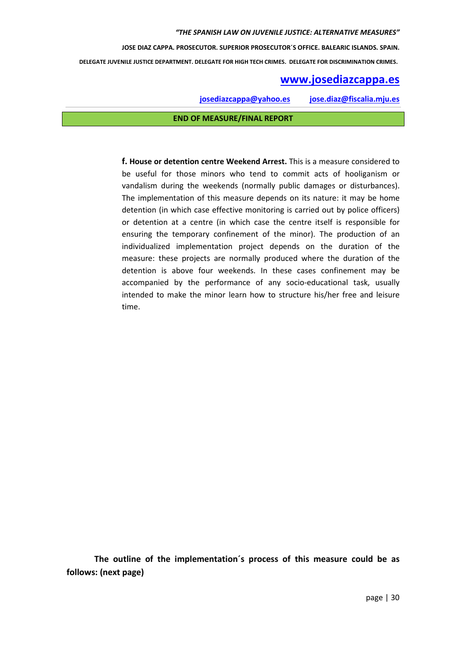**JOSE DIAZ CAPPA. PROSECUTOR. SUPERIOR PROSECUTOR´S OFFICE. BALEARIC ISLANDS. SPAIN.**

 **DELEGATE JUVENILE JUSTICE DEPARTMENT. DELEGATE FOR HIGH TECH CRIMES. DELEGATE FOR DISCRIMINATION CRIMES.** 

## **www.josediazcappa.es**

**josediazcappa@yahoo.es jose.diaz@fiscalia.mju.es** 

#### **END OF MEASURE/FINAL REPORT**

**f. House or detention centre Weekend Arrest.** This is a measure considered to be useful for those minors who tend to commit acts of hooliganism or vandalism during the weekends (normally public damages or disturbances). The implementation of this measure depends on its nature: it may be home detention (in which case effective monitoring is carried out by police officers) or detention at a centre (in which case the centre itself is responsible for ensuring the temporary confinement of the minor). The production of an individualized implementation project depends on the duration of the measure: these projects are normally produced where the duration of the detention is above four weekends. In these cases confinement may be accompanied by the performance of any socio-educational task, usually intended to make the minor learn how to structure his/her free and leisure time.

**The outline of the implementation´s process of this measure could be as follows: (next page)**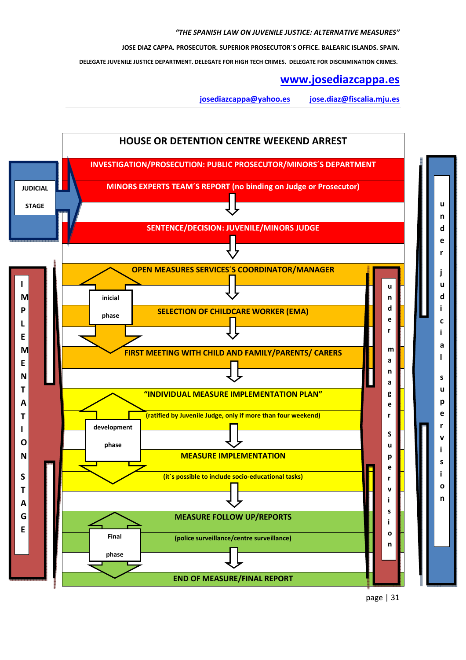**JOSE DIAZ CAPPA. PROSECUTOR. SUPERIOR PROSECUTOR´S OFFICE. BALEARIC ISLANDS. SPAIN.**

 **DELEGATE JUVENILE JUSTICE DEPARTMENT. DELEGATE FOR HIGH TECH CRIMES. DELEGATE FOR DISCRIMINATION CRIMES.** 

## **www.josediazcappa.es**

**josediazcappa@yahoo.es jose.diaz@fiscalia.mju.es** 



page | 31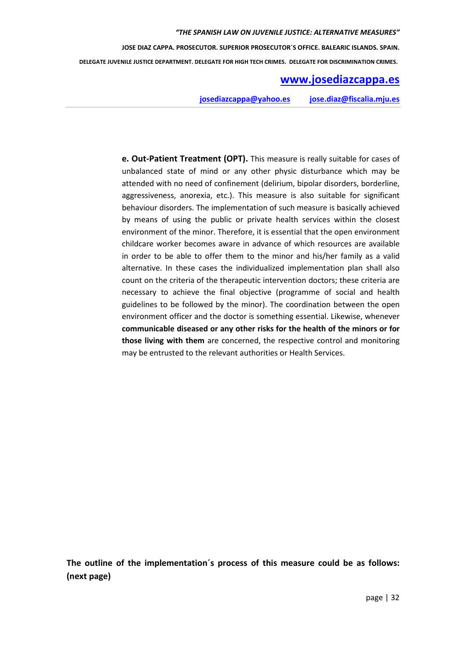## **www.josediazcappa.es**

**josediazcappa@yahoo.es jose.diaz@fiscalia.mju.es** 

**e. Out-Patient Treatment (OPT).** This measure is really suitable for cases of unbalanced state of mind or any other physic disturbance which may be attended with no need of confinement (delirium, bipolar disorders, borderline, aggressiveness, anorexia, etc.). This measure is also suitable for significant behaviour disorders. The implementation of such measure is basically achieved by means of using the public or private health services within the closest environment of the minor. Therefore, it is essential that the open environment childcare worker becomes aware in advance of which resources are available in order to be able to offer them to the minor and his/her family as a valid alternative. In these cases the individualized implementation plan shall also count on the criteria of the therapeutic intervention doctors; these criteria are necessary to achieve the final objective (programme of social and health guidelines to be followed by the minor). The coordination between the open environment officer and the doctor is something essential. Likewise, whenever **communicable diseased or any other risks for the health of the minors or for those living with them** are concerned, the respective control and monitoring may be entrusted to the relevant authorities or Health Services.

**The outline of the implementation´s process of this measure could be as follows: (next page)**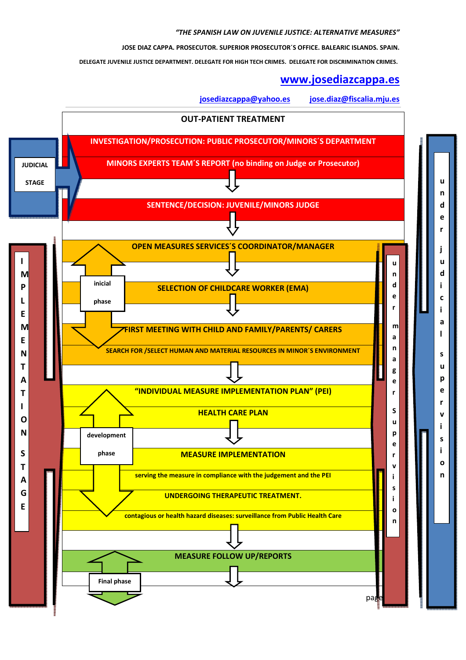**JOSE DIAZ CAPPA. PROSECUTOR. SUPERIOR PROSECUTOR´S OFFICE. BALEARIC ISLANDS. SPAIN.**

 **DELEGATE JUVENILE JUSTICE DEPARTMENT. DELEGATE FOR HIGH TECH CRIMES. DELEGATE FOR DISCRIMINATION CRIMES.** 

#### **www.josediazcappa.es**

**josediazcappa@yahoo.es jose.diaz@fiscalia.mju.es** 

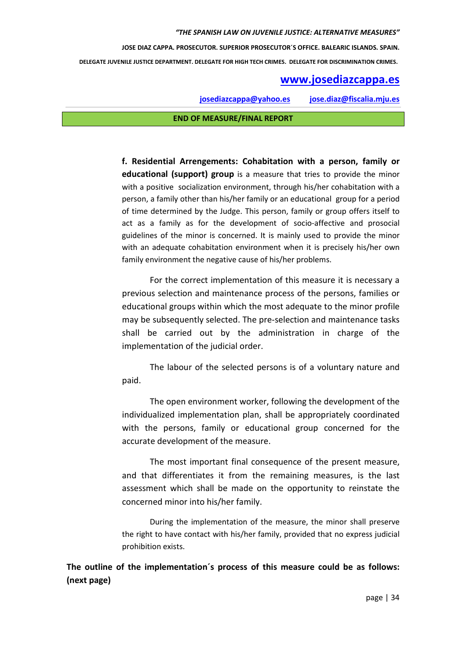## **www.josediazcappa.es**

**josediazcappa@yahoo.es jose.diaz@fiscalia.mju.es** 

#### **END OF MEASURE/FINAL REPORT**

**f. Residential Arrengements: Cohabitation with a person, family or educational (support) group** is a measure that tries to provide the minor with a positive socialization environment, through his/her cohabitation with a person, a family other than his/her family or an educational group for a period of time determined by the Judge. This person, family or group offers itself to act as a family as for the development of socio-affective and prosocial guidelines of the minor is concerned. It is mainly used to provide the minor with an adequate cohabitation environment when it is precisely his/her own family environment the negative cause of his/her problems.

For the correct implementation of this measure it is necessary a previous selection and maintenance process of the persons, families or educational groups within which the most adequate to the minor profile may be subsequently selected. The pre-selection and maintenance tasks shall be carried out by the administration in charge of the implementation of the judicial order.

The labour of the selected persons is of a voluntary nature and paid.

The open environment worker, following the development of the individualized implementation plan, shall be appropriately coordinated with the persons, family or educational group concerned for the accurate development of the measure.

The most important final consequence of the present measure, and that differentiates it from the remaining measures, is the last assessment which shall be made on the opportunity to reinstate the concerned minor into his/her family.

During the implementation of the measure, the minor shall preserve the right to have contact with his/her family, provided that no express judicial prohibition exists.

**The outline of the implementation´s process of this measure could be as follows: (next page)**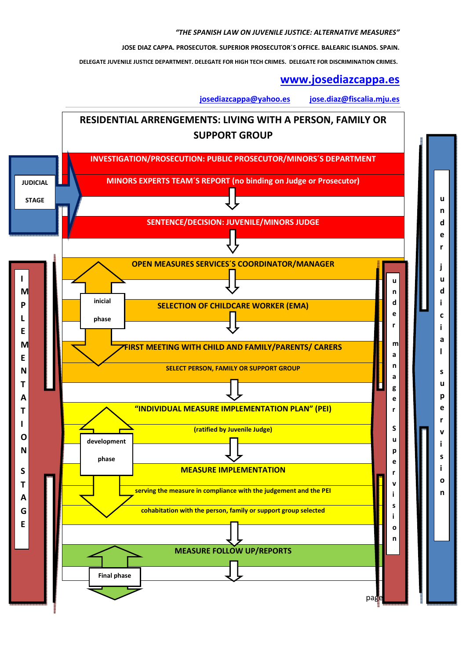**JOSE DIAZ CAPPA. PROSECUTOR. SUPERIOR PROSECUTOR´S OFFICE. BALEARIC ISLANDS. SPAIN.**

 **DELEGATE JUVENILE JUSTICE DEPARTMENT. DELEGATE FOR HIGH TECH CRIMES. DELEGATE FOR DISCRIMINATION CRIMES.** 

#### **www.josediazcappa.es**

**josediazcappa@yahoo.es jose.diaz@fiscalia.mju.es** 

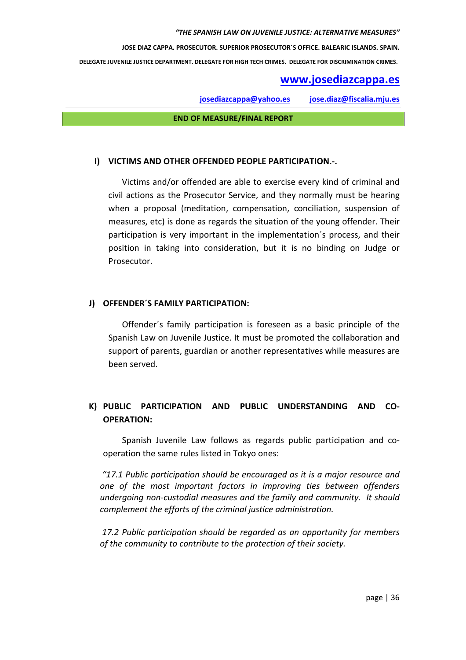**JOSE DIAZ CAPPA. PROSECUTOR. SUPERIOR PROSECUTOR´S OFFICE. BALEARIC ISLANDS. SPAIN.**

 **DELEGATE JUVENILE JUSTICE DEPARTMENT. DELEGATE FOR HIGH TECH CRIMES. DELEGATE FOR DISCRIMINATION CRIMES.** 

## **www.josediazcappa.es**

**josediazcappa@yahoo.es jose.diaz@fiscalia.mju.es** 

**END OF MEASURE/FINAL REPORT** 

#### **I) VICTIMS AND OTHER OFFENDED PEOPLE PARTICIPATION.-.**

Victims and/or offended are able to exercise every kind of criminal and civil actions as the Prosecutor Service, and they normally must be hearing when a proposal (meditation, compensation, conciliation, suspension of measures, etc) is done as regards the situation of the young offender. Their participation is very important in the implementation´s process, and their position in taking into consideration, but it is no binding on Judge or Prosecutor.

#### **J) OFFENDER´S FAMILY PARTICIPATION:**

Offender´s family participation is foreseen as a basic principle of the Spanish Law on Juvenile Justice. It must be promoted the collaboration and support of parents, guardian or another representatives while measures are been served.

## **K) PUBLIC PARTICIPATION AND PUBLIC UNDERSTANDING AND CO-OPERATION:**

Spanish Juvenile Law follows as regards public participation and cooperation the same rules listed in Tokyo ones:

*"17.1 Public participation should be encouraged as it is a major resource and one of the most important factors in improving ties between offenders undergoing non-custodial measures and the family and community. It should complement the efforts of the criminal justice administration.* 

 *17.2 Public participation should be regarded as an opportunity for members of the community to contribute to the protection of their society.*